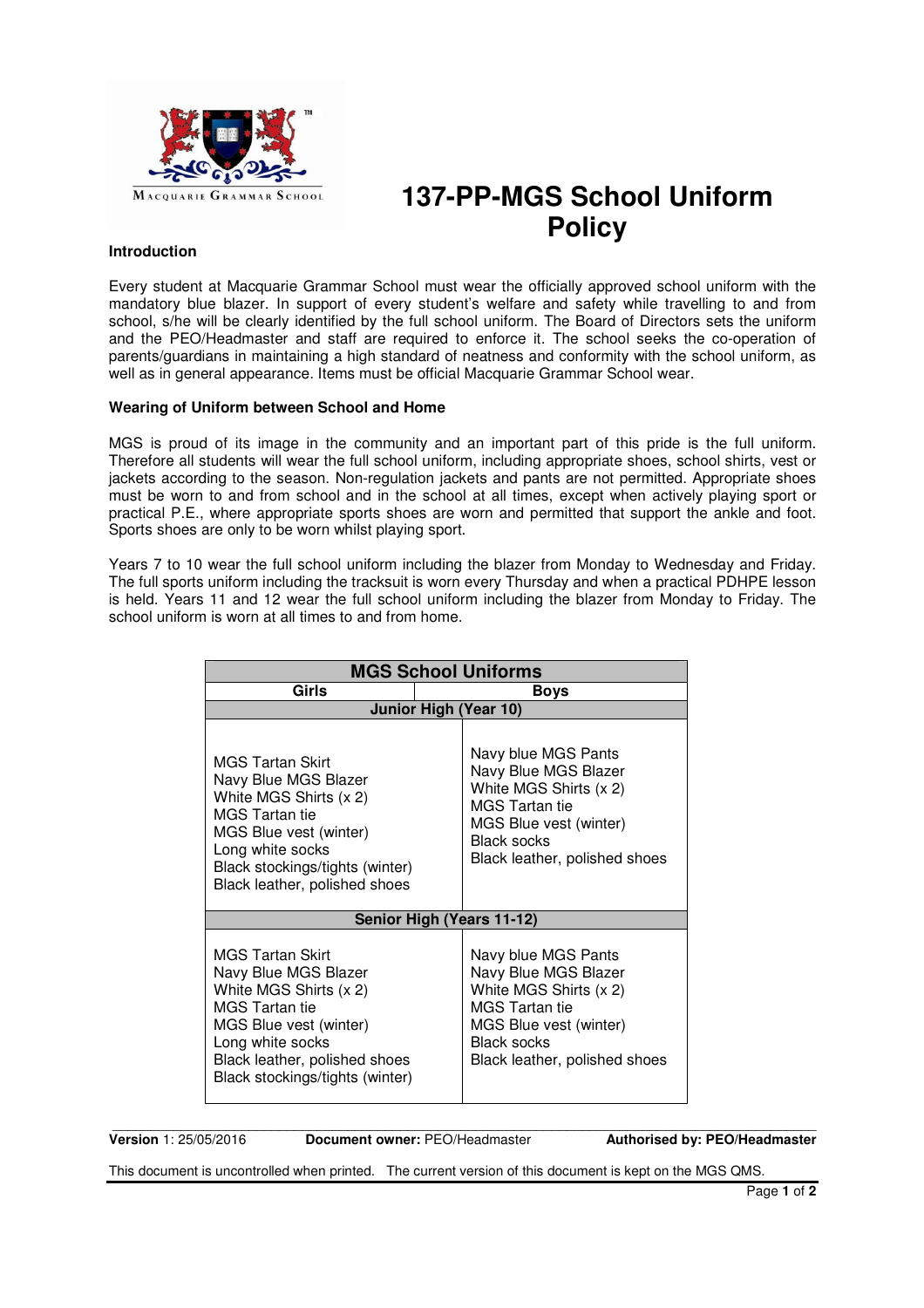

# **137-PP-MGS School Uniform Policy**

# **Introduction**

Every student at Macquarie Grammar School must wear the officially approved school uniform with the mandatory blue blazer. In support of every student's welfare and safety while travelling to and from school, s/he will be clearly identified by the full school uniform. The Board of Directors sets the uniform and the PEO/Headmaster and staff are required to enforce it. The school seeks the co-operation of parents/guardians in maintaining a high standard of neatness and conformity with the school uniform, as well as in general appearance. Items must be official Macquarie Grammar School wear.

## **Wearing of Uniform between School and Home**

MGS is proud of its image in the community and an important part of this pride is the full uniform. Therefore all students will wear the full school uniform, including appropriate shoes, school shirts, vest or jackets according to the season. Non-regulation jackets and pants are not permitted. Appropriate shoes must be worn to and from school and in the school at all times, except when actively playing sport or practical P.E., where appropriate sports shoes are worn and permitted that support the ankle and foot. Sports shoes are only to be worn whilst playing sport.

Years 7 to 10 wear the full school uniform including the blazer from Monday to Wednesday and Friday. The full sports uniform including the tracksuit is worn every Thursday and when a practical PDHPE lesson is held. Years 11 and 12 wear the full school uniform including the blazer from Monday to Friday. The school uniform is worn at all times to and from home.

| <b>MGS School Uniforms</b>                                                                                                                                                                                    |                                                                                                                                                                                 |  |
|---------------------------------------------------------------------------------------------------------------------------------------------------------------------------------------------------------------|---------------------------------------------------------------------------------------------------------------------------------------------------------------------------------|--|
| Girls                                                                                                                                                                                                         | Boys                                                                                                                                                                            |  |
| <b>Junior High (Year 10)</b>                                                                                                                                                                                  |                                                                                                                                                                                 |  |
| MGS Tartan Skirt<br>Navy Blue MGS Blazer<br>White MGS Shirts (x 2)<br>MGS Tartan tie<br>MGS Blue vest (winter)<br>Long white socks<br>Black stockings/tights (winter)<br>Black leather, polished shoes        | Navy blue MGS Pants<br>Navy Blue MGS Blazer<br>White MGS Shirts (x 2)<br>MGS Tartan tie<br>MGS Blue vest (winter)<br><b>Black socks</b><br>Black leather, polished shoes        |  |
| Senior High (Years 11-12)                                                                                                                                                                                     |                                                                                                                                                                                 |  |
| MGS Tartan Skirt<br>Navy Blue MGS Blazer<br>White MGS Shirts (x 2)<br><b>MGS Tartan tie</b><br>MGS Blue vest (winter)<br>Long white socks<br>Black leather, polished shoes<br>Black stockings/tights (winter) | Navy blue MGS Pants<br>Navy Blue MGS Blazer<br>White MGS Shirts (x 2)<br><b>MGS</b> Tartan tie<br>MGS Blue vest (winter)<br><b>Black socks</b><br>Black leather, polished shoes |  |

 $\overline{\phantom{a}}$  ,  $\overline{\phantom{a}}$  ,  $\overline{\phantom{a}}$  ,  $\overline{\phantom{a}}$  ,  $\overline{\phantom{a}}$  ,  $\overline{\phantom{a}}$  ,  $\overline{\phantom{a}}$  ,  $\overline{\phantom{a}}$  ,  $\overline{\phantom{a}}$  ,  $\overline{\phantom{a}}$  ,  $\overline{\phantom{a}}$  ,  $\overline{\phantom{a}}$  ,  $\overline{\phantom{a}}$  ,  $\overline{\phantom{a}}$  ,  $\overline{\phantom{a}}$  ,  $\overline{\phantom{a}}$ **Version** 1: 25/05/2016 **Document owner:** PEO/Headmaster **Authorised by: PEO/Headmaster**

This document is uncontrolled when printed. The current version of this document is kept on the MGS QMS.